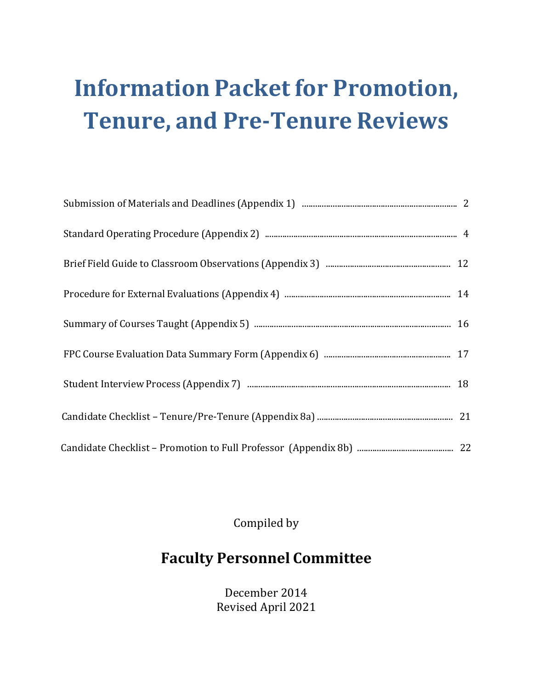## **Information Packet for Promotion, Tenure, and Pre-Tenure Reviews**

Compiled by

## **Faculty Personnel Committee**

December 2014 Revised April 2021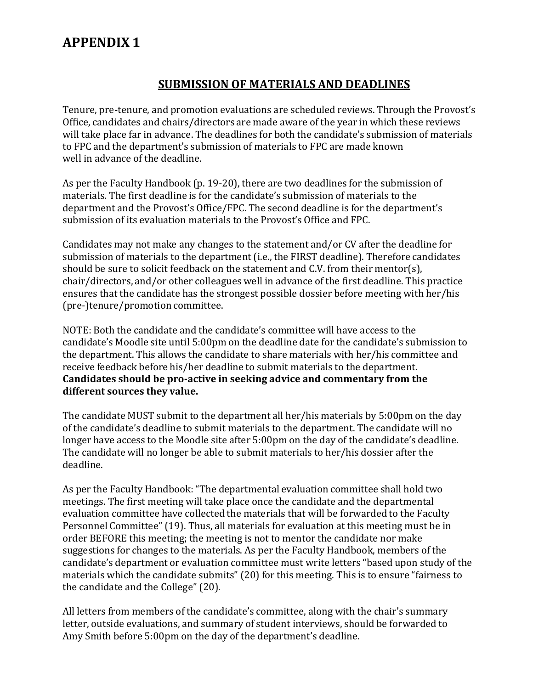#### **SUBMISSION OF MATERIALS AND DEADLINES**

Tenure, pre-tenure, and promotion evaluations are scheduled reviews. Through the Provost's Office, candidates and chairs/directors are made aware of the year in which these reviews will take place far in advance. The deadlines for both the candidate's submission of materials to FPC and the department's submission of materials to FPC are made known well in advance of the deadline.

As per the Faculty Handbook (p. 19-20), there are two deadlines for the submission of materials. The first deadline is for the candidate's submission of materials to the department and the Provost's Office/FPC. The second deadline is for the department's submission of its evaluation materials to the Provost's Office and FPC.

Candidates may not make any changes to the statement and/or CV after the deadline for submission of materials to the department (i.e., the FIRST deadline). Therefore candidates should be sure to solicit feedback on the statement and C.V. from their mentor(s), chair/directors, and/or other colleagues well in advance of the first deadline. This practice ensures that the candidate has the strongest possible dossier before meeting with her/his (pre-)tenure/promotion committee.

NOTE: Both the candidate and the candidate's committee will have access to the candidate's Moodle site until 5:00pm on the deadline date for the candidate's submission to the department. This allows the candidate to share materials with her/his committee and receive feedback before his/her deadline to submit materials to the department. **Candidates should be pro-active in seeking advice and commentary from the different sources they value.**

The candidate MUST submit to the department all her/his materials by 5:00pm on the day of the candidate's deadline to submit materials to the department. The candidate will no longer have access to the Moodle site after 5:00pm on the day of the candidate's deadline. The candidate will no longer be able to submit materials to her/his dossier after the deadline.

As per the Faculty Handbook:"The departmental evaluation committee shall hold two meetings. The first meeting will take place once the candidate and the departmental evaluation committee have collected the materials that will be forwarded to the Faculty Personnel Committee" (19). Thus, all materials for evaluation at this meeting must be in order BEFORE this meeting; the meeting is not to mentor the candidate nor make suggestions for changes to the materials. As per the Faculty Handbook, members of the candidate's department or evaluation committee must write letters "based upon study of the materials which the candidate submits" (20) for this meeting. This is to ensure "fairness to the candidate and the College" (20).

All letters from members of the candidate's committee, along with the chair's summary letter, outside evaluations, and summary of student interviews, should be forwarded to Amy Smith before 5:00pm on the day of the department's deadline.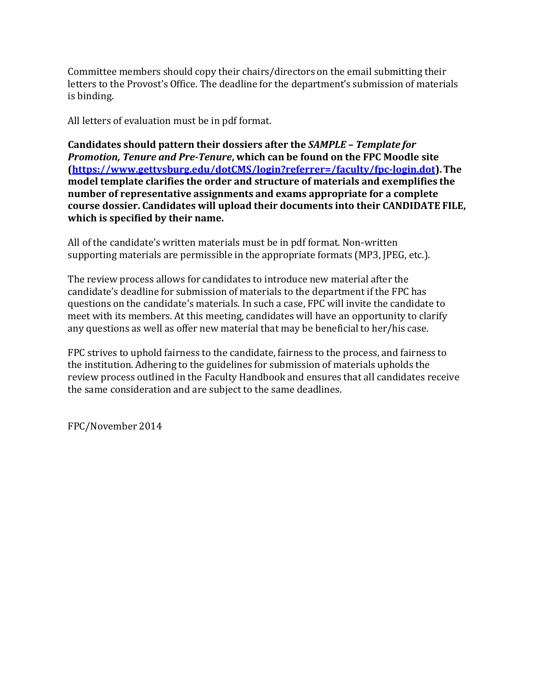Committee members should copy their chairs/directors on the email submitting their letters to the Provost's Office. The deadline for the department's submission of materials is binding.

All letters of evaluation must be in pdf format.

**Candidates should pattern their dossiers after the** *SAMPLE – Template for Promotion, Tenure and Pre-Tenure***, which can be found on the FPC Moodle site (https://www.gettysburg.edu/dotCMS/login?referrer=/faculty/fpc-login.dot).The model template clarifies the order and structure of materials and exemplifies the number of representative assignments and exams appropriate for a complete course dossier. Candidates will upload their documents into their CANDIDATE FILE, which is specified by their name.**

All of the candidate's written materials must be in pdf format. Non-written supporting materials are permissible in the appropriate formats (MP3, JPEG, etc.).

The review process allows for candidates to introduce new material after the candidate's deadline for submission of materials to the department if the FPC has questions on the candidate's materials. In such a case, FPC will invite the candidate to meet with its members. At this meeting, candidates will have an opportunity to clarify any questions as well as offer new material that may be beneficial to her/his case.

FPC strives to uphold fairness to the candidate, fairness to the process, and fairness to the institution. Adhering to the guidelines for submission of materials upholds the review process outlined in the Faculty Handbook and ensures that all candidates receive the same consideration and are subject to the same deadlines.

FPC/November 2014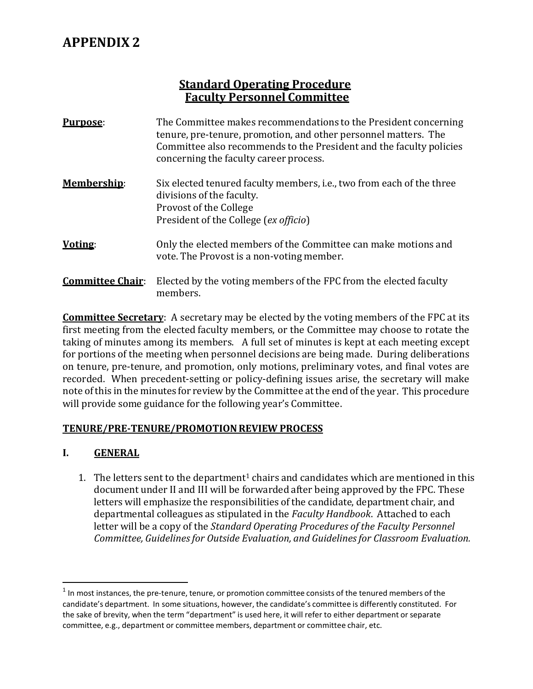#### **Standard Operating Procedure Faculty Personnel Committee**

| Purpose:                | The Committee makes recommendations to the President concerning<br>tenure, pre-tenure, promotion, and other personnel matters. The<br>Committee also recommends to the President and the faculty policies<br>concerning the faculty career process. |
|-------------------------|-----------------------------------------------------------------------------------------------------------------------------------------------------------------------------------------------------------------------------------------------------|
| <b>Membership:</b>      | Six elected tenured faculty members, i.e., two from each of the three<br>divisions of the faculty.<br>Provost of the College<br>President of the College (ex officio)                                                                               |
| Voting:                 | Only the elected members of the Committee can make motions and<br>vote. The Provost is a non-voting member.                                                                                                                                         |
| <b>Committee Chair:</b> | Elected by the voting members of the FPC from the elected faculty<br>members.                                                                                                                                                                       |

**Committee Secretary**: A secretary may be elected by the voting members of the FPC at its first meeting from the elected faculty members, or the Committee may choose to rotate the taking of minutes among its members. A full set of minutes is kept at each meeting except for portions of the meeting when personnel decisions are being made. During deliberations on tenure, pre-tenure, and promotion, only motions, preliminary votes, and final votes are recorded. When precedent-setting or policy-defining issues arise, the secretary will make note of this in the minutes for review by the Committee at the end of the year. This procedure will provide some guidance for the following year's Committee.

#### **TENURE/PRE-TENURE/PROMOTION REVIEW PROCESS**

#### **I. GENERAL**

1. The letters sent to the department<sup>1</sup> chairs and candidates which are mentioned in this document under II and III will be forwarded after being approved by the FPC. These letters will emphasize the responsibilities of the candidate, department chair, and departmental colleagues as stipulated in the *Faculty Handbook*. Attached to each letter will be a copy of the *Standard Operating Procedures of the Faculty Personnel Committee, Guidelines for Outside Evaluation, and Guidelines for Classroom Evaluation.*

 $1$  In most instances, the pre-tenure, tenure, or promotion committee consists of the tenured members of the candidate's department. In some situations, however, the candidate's committee is differently constituted. For the sake of brevity, when the term "department" is used here, it will refer to either department or separate committee, e.g., department or committee members, department or committee chair, etc.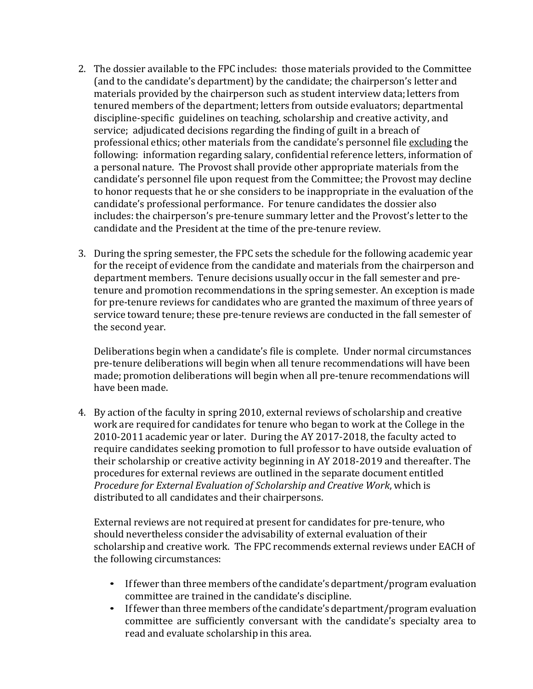- 2. The dossier available to the FPC includes: those materials provided to the Committee (and to the candidate's department) by the candidate; the chairperson's letter and materials provided by the chairperson such as student interview data; letters from tenured members of the department; letters from outside evaluators; departmental discipline-specific guidelines on teaching, scholarship and creative activity, and service; adjudicated decisions regarding the finding of guilt in a breach of professional ethics; other materials from the candidate's personnel file excluding the following: information regarding salary, confidential reference letters, information of a personal nature. The Provost shall provide other appropriate materials from the candidate's personnel file upon request from the Committee; the Provost may decline to honor requests that he or she considers to be inappropriate in the evaluation of the candidate's professional performance. For tenure candidates the dossier also includes: the chairperson's pre-tenure summary letter and the Provost's letter to the candidate and the President at the time of the pre-tenure review.
- 3. During the spring semester, the FPC sets the schedule for the following academic year for the receipt of evidence from the candidate and materials from the chairperson and department members. Tenure decisions usually occur in the fall semester and pretenure and promotion recommendations in the spring semester. An exception is made for pre-tenure reviews for candidates who are granted the maximum of three years of service toward tenure; these pre-tenure reviews are conducted in the fall semester of the second year.

Deliberations begin when a candidate's file is complete. Under normal circumstances pre-tenure deliberations will begin when all tenure recommendations will have been made; promotion deliberations will begin when all pre-tenure recommendations will have been made.

4. By action of the faculty in spring 2010, external reviews of scholarship and creative work are required for candidates for tenure who began to work at the College in the 2010-2011 academic year or later. During the AY 2017-2018, the faculty acted to require candidates seeking promotion to full professor to have outside evaluation of their scholarship or creative activity beginning in AY 2018-2019 and thereafter. The procedures for external reviews are outlined in the separate document entitled *Procedure for External Evaluation of Scholarship and Creative Work*, which is distributed to all candidates and their chairpersons.

External reviews are not required at present for candidates for pre-tenure, who should nevertheless consider the advisability of external evaluation of their scholarship and creative work. The FPC recommends external reviews under EACH of the following circumstances:

- If fewer than three members of the candidate's department/program evaluation committee are trained in the candidate's discipline.
- If fewer than three members of the candidate's department/program evaluation committee are sufficiently conversant with the candidate's specialty area to read and evaluate scholarship in this area.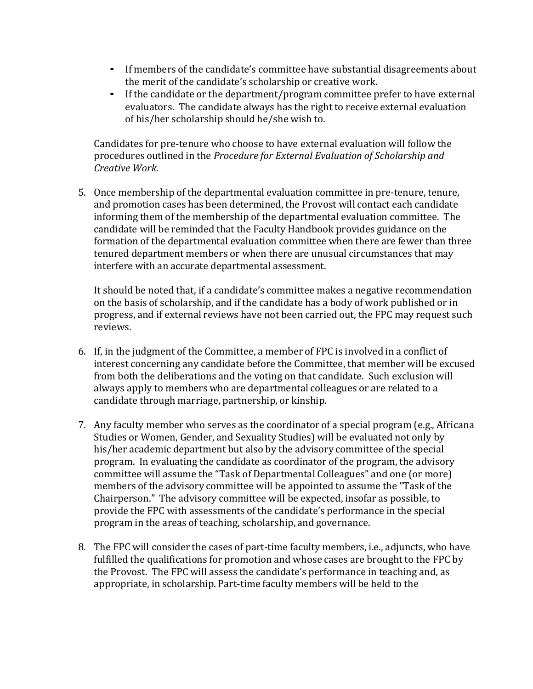- If members of the candidate's committee have substantial disagreements about the merit of the candidate's scholarship or creative work.
- If the candidate or the department/program committee prefer to have external evaluators. The candidate always has the right to receive external evaluation of his/her scholarship should he/she wish to.

Candidates for pre-tenure who choose to have external evaluation will follow the procedures outlined in the *Procedure for External Evaluation of Scholarship and Creative Work*.

5. Once membership of the departmental evaluation committee in pre-tenure, tenure, and promotion cases has been determined, the Provost will contact each candidate informing them of the membership of the departmental evaluation committee. The candidate will be reminded that the Faculty Handbook provides guidance on the formation of the departmental evaluation committee when there are fewer than three tenured department members or when there are unusual circumstances that may interfere with an accurate departmental assessment.

It should be noted that, if a candidate's committee makes a negative recommendation on the basis of scholarship, and if the candidate has a body of work published or in progress, and if external reviews have not been carried out, the FPC may request such reviews.

- 6. If, in the judgment of the Committee, a member of FPC is involved in a conflict of interest concerning any candidate before the Committee, that member will be excused from both the deliberations and the voting on that candidate. Such exclusion will always apply to members who are departmental colleagues or are related to a candidate through marriage, partnership, or kinship.
- 7. Any faculty member who serves as the coordinator of a special program (e.g., Africana Studies or Women, Gender, and Sexuality Studies) will be evaluated not only by his/her academic department but also by the advisory committee of the special program. In evaluating the candidate as coordinator of the program, the advisory committee will assume the "Task of Departmental Colleagues" and one (or more) members of the advisory committee will be appointed to assume the "Task of the Chairperson." The advisory committee will be expected, insofar as possible, to provide the FPC with assessments of the candidate's performance in the special program in the areas of teaching, scholarship, and governance.
- 8. The FPC will consider the cases of part-time faculty members, i.e., adjuncts, who have fulfilled the qualifications for promotion and whose cases are brought to the FPC by the Provost. The FPC will assess the candidate's performance in teaching and, as appropriate, in scholarship. Part-time faculty members will be held to the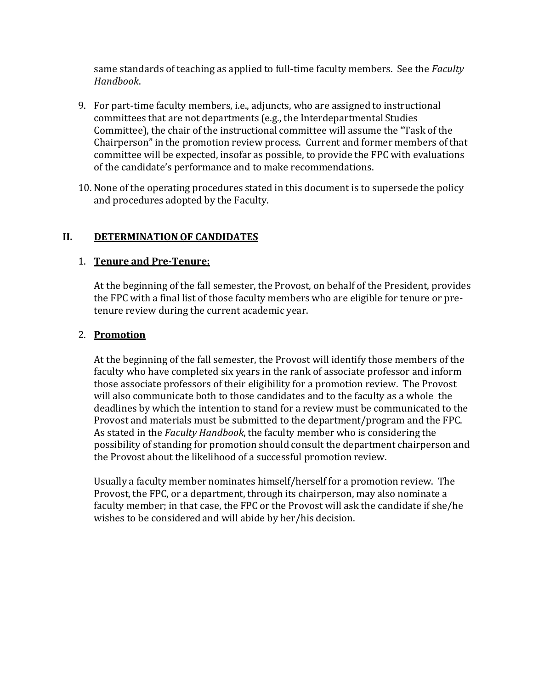same standards of teaching as applied to full-time faculty members. See the *Faculty Handbook*.

- 9. For part-time faculty members, i.e., adjuncts, who are assigned to instructional committees that are not departments (e.g., the Interdepartmental Studies Committee), the chair of the instructional committee will assume the "Task of the Chairperson"in the promotion review process. Current and former members of that committee will be expected, insofar as possible, to provide the FPC with evaluations of the candidate's performance and to make recommendations.
- 10. None of the operating procedures stated in this document is to supersede the policy and procedures adopted by the Faculty.

#### **II. DETERMINATION OF CANDIDATES**

#### 1. **Tenure and Pre-Tenure:**

At the beginning of the fall semester, the Provost, on behalf of the President, provides the FPC with a final list of those faculty members who are eligible for tenure or pretenure review during the current academic year.

#### 2. **Promotion**

At the beginning of the fall semester, the Provost will identify those members of the faculty who have completed six years in the rank of associate professor and inform those associate professors of their eligibility for a promotion review. The Provost will also communicate both to those candidates and to the faculty as a whole the deadlines by which the intention to stand for a review must be communicated to the Provost and materials must be submitted to the department/program and the FPC. As stated in the *Faculty Handbook*, the faculty member who is considering the possibility of standing for promotion should consult the department chairperson and the Provost about the likelihood of a successful promotion review.

Usually a faculty member nominates himself/herself for a promotion review. The Provost, the FPC, or a department, through its chairperson, may also nominate a faculty member; in that case, the FPC or the Provost will ask the candidate if she/he wishes to be considered and will abide by her/his decision.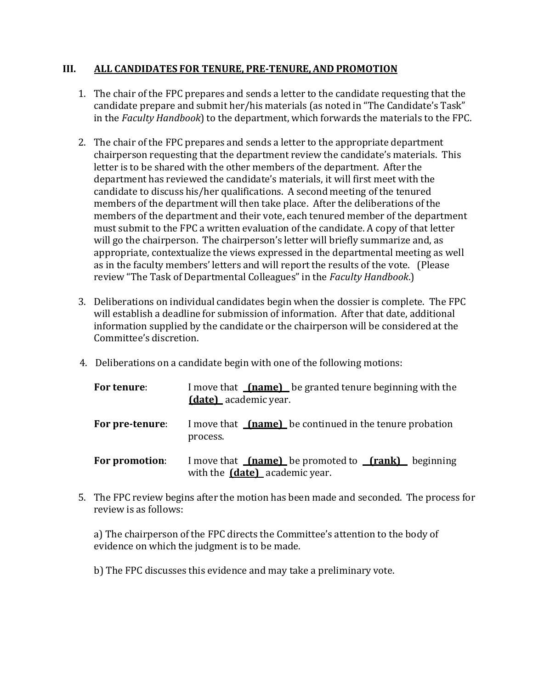#### **III. ALL CANDIDATES FOR TENURE, PRE-TENURE, AND PROMOTION**

- 1. The chair of the FPC prepares and sends a letter to the candidate requesting that the candidate prepare and submit her/his materials (as noted in "The Candidate's Task" in the *Faculty Handbook*) to the department, which forwards the materials to the FPC.
- 2. The chair of the FPC prepares and sends a letter to the appropriate department chairperson requesting that the department review the candidate's materials. This letter is to be shared with the other members of the department. After the department has reviewed the candidate's materials, it will first meet with the candidate to discuss his/her qualifications. A second meeting of the tenured members of the department will then take place. After the deliberations of the members of the department and their vote, each tenured member of the department must submit to the FPC a written evaluation of the candidate. A copy of that letter will go the chairperson. The chairperson's letter will briefly summarize and, as appropriate, contextualize the views expressed in the departmental meeting as well as in the faculty members' letters and will report the results of the vote. (Please review "The Task of Departmental Colleagues" in the *Faculty Handbook*.)
- 3. Deliberations on individual candidates begin when the dossier is complete. The FPC will establish a deadline for submission of information. After that date, additional information supplied by the candidate or the chairperson will be considered at the Committee's discretion.
- 4. Deliberations on a candidate begin with one of the following motions:

| For tenure:     | I move that <u>(name)</u> be granted tenure beginning with the<br><b>(date)</b> academic year.      |  |  |  |  |
|-----------------|-----------------------------------------------------------------------------------------------------|--|--|--|--|
| For pre-tenure: | I move that <b>(name)</b> be continued in the tenure probation<br>process.                          |  |  |  |  |
| For promotion:  | I move that $f$ (name) be promoted to $f$ (rank) beginning<br>with the <b>(date)</b> academic year. |  |  |  |  |

5. The FPC review begins after the motion has been made and seconded. The process for review is as follows:

a) The chairperson of the FPC directs the Committee's attention to the body of evidence on which the judgment is to be made.

b) The FPC discusses this evidence and may take a preliminary vote.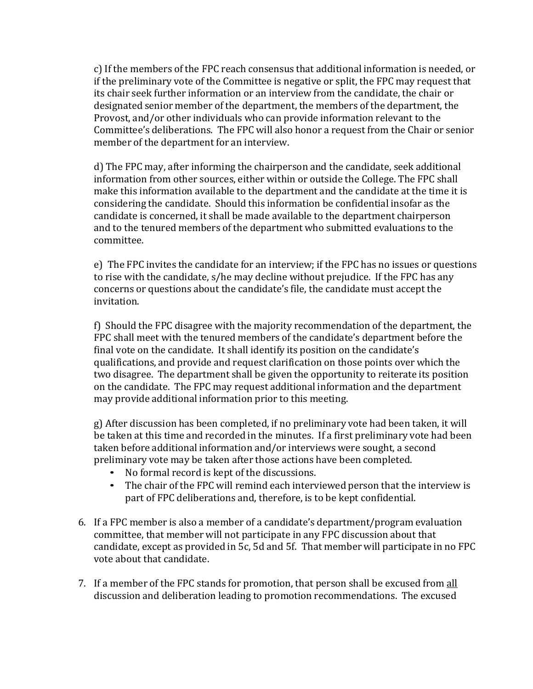c) If the members of the FPC reach consensus that additional information is needed, or if the preliminary vote of the Committee is negative or split, the FPC may request that its chair seek further information or an interview from the candidate, the chair or designated senior member of the department, the members of the department, the Provost, and/or other individuals who can provide information relevant to the Committee's deliberations. The FPC will also honor a request from the Chair or senior member of the department for an interview.

d) The FPC may, after informing the chairperson and the candidate, seek additional information from other sources, either within or outside the College. The FPC shall make this information available to the department and the candidate at the time it is considering the candidate. Should this information be confidential insofar as the candidate is concerned, it shall be made available to the department chairperson and to the tenured members of the department who submitted evaluations to the committee.

e) The FPC invites the candidate for an interview; if the FPC has no issues or questions to rise with the candidate, s/he may decline without prejudice. If the FPC has any concerns or questions about the candidate's file, the candidate must accept the invitation.

f) Should the FPC disagree with the majority recommendation of the department, the FPC shall meet with the tenured members of the candidate's department before the final vote on the candidate. It shall identify its position on the candidate's qualifications, and provide and request clarification on those points over which the two disagree. The department shall be given the opportunity to reiterate its position on the candidate. The FPC may request additional information and the department may provide additional information prior to this meeting.

g) After discussion has been completed, if no preliminary vote had been taken, it will be taken at this time and recorded in the minutes. If a first preliminary vote had been taken before additional information and/or interviews were sought, a second preliminary vote may be taken after those actions have been completed.<br>• No formal record is kent of the discussions.

- No formal record is kept of the discussions.
- The chair of the FPC will remind each interviewed person that the interview is part of FPC deliberations and, therefore, is to be kept confidential.
- 6. If a FPC member is also a member of a candidate's department/program evaluation committee, that member will not participate in any FPC discussion about that candidate, except as provided in 5c, 5d and 5f. That member will participate in no FPC vote about that candidate.
- 7. If a member of the FPC stands for promotion, that person shall be excused from all discussion and deliberation leading to promotion recommendations. The excused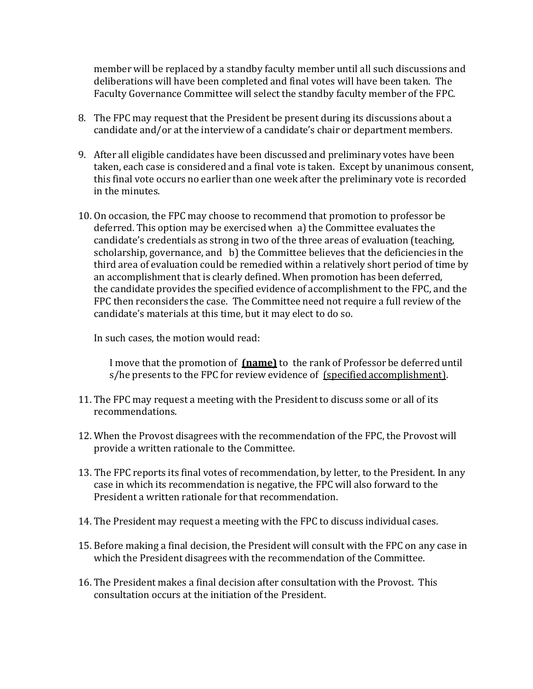member will be replaced by a standby faculty member until all such discussions and deliberations will have been completed and final votes will have been taken. The Faculty Governance Committee will select the standby faculty member of the FPC.

- 8. The FPC may request that the President be present during its discussions about a candidate and/or at the interview of a candidate's chair or department members.
- 9. After all eligible candidates have been discussed and preliminary votes have been taken, each case is considered and a final vote is taken. Except by unanimous consent, this final vote occurs no earlier than one week after the preliminary vote is recorded in the minutes.
- 10. On occasion, the FPC may choose to recommend that promotion to professor be deferred. This option may be exercised when a) the Committee evaluates the candidate's credentials as strong in two of the three areas of evaluation (teaching, scholarship, governance, and b) the Committee believes that the deficiencies in the third area of evaluation could be remedied within a relatively short period of time by an accomplishment that is clearly defined. When promotion has been deferred, the candidate provides the specified evidence of accomplishment to the FPC, and the FPC then reconsiders the case. The Committee need not require a full review of the candidate's materials at this time, but it may elect to do so.

In such cases, the motion would read:

I move that the promotion of **(name)** to the rank of Professor be deferred until s/he presents to the FPC for review evidence of (specified accomplishment).

- 11. The FPC may request a meeting with the President to discuss some or all of its recommendations.
- 12. When the Provost disagrees with the recommendation of the FPC, the Provost will provide a written rationale to the Committee.
- 13. The FPC reports its final votes of recommendation, by letter, to the President. In any case in which its recommendation is negative, the FPC will also forward to the President a written rationale for that recommendation.
- 14. The President may request a meeting with the FPC to discuss individual cases.
- 15. Before making a final decision, the President will consult with the FPC on any case in which the President disagrees with the recommendation of the Committee.
- 16. The President makes a final decision after consultation with the Provost. This consultation occurs at the initiation of the President.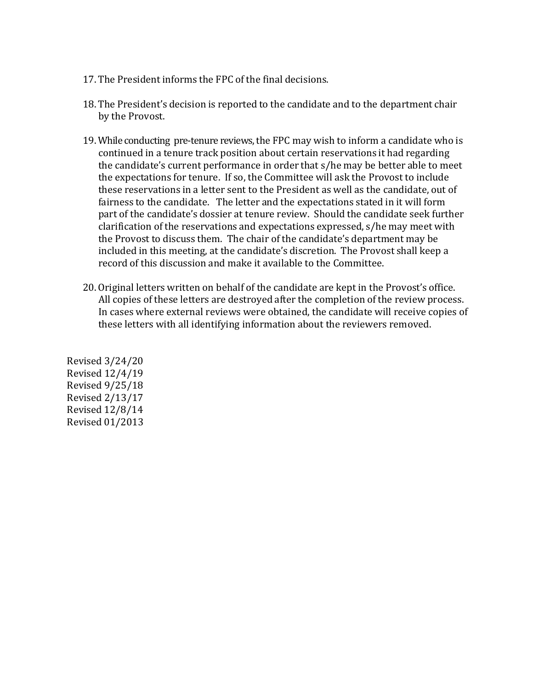- 17. The President informs the FPC of the final decisions.
- 18. The President's decision is reported to the candidate and to the department chair by the Provost.
- 19. While conducting pre-tenure reviews, the FPC may wish to inform a candidate who is continued in a tenure track position about certain reservations it had regarding the candidate's current performance in order that s/he may be better able to meet the expectations for tenure. If so, the Committee will ask the Provost to include these reservations in a letter sent to the President as well as the candidate, out of fairness to the candidate. The letter and the expectations stated in it will form part of the candidate's dossier at tenure review. Should the candidate seek further clarification of the reservations and expectations expressed, s/he may meet with the Provost to discuss them. The chair of the candidate's department may be included in this meeting, at the candidate's discretion. The Provost shall keep a record of this discussion and make it available to the Committee.
- 20. Original letters written on behalf of the candidate are kept in the Provost's office. All copies of these letters are destroyed after the completion of the review process. In cases where external reviews were obtained, the candidate will receive copies of these letters with all identifying information about the reviewers removed.

Revised 3/24/20 Revised 12/4/19 Revised 9/25/18 Revised 2/13/17 Revised 12/8/14 Revised 01/2013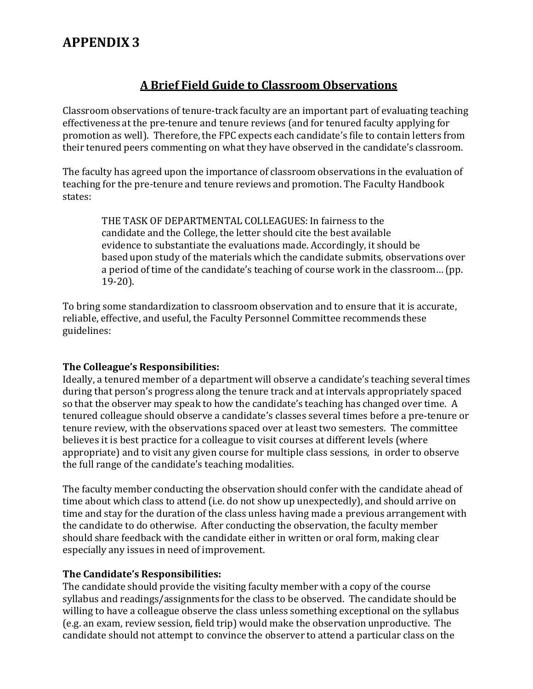### **A Brief Field Guide to Classroom Observations**

Classroom observations of tenure-track faculty are an important part of evaluating teaching effectiveness at the pre-tenure and tenure reviews (and for tenured faculty applying for promotion as well). Therefore, the FPC expects each candidate's file to contain letters from their tenured peers commenting on what they have observed in the candidate's classroom.

The faculty has agreed upon the importance of classroom observations in the evaluation of teaching for the pre-tenure and tenure reviews and promotion. The Faculty Handbook states:

THE TASK OF DEPARTMENTAL COLLEAGUES: In fairness to the candidate and the College, the letter should cite the best available evidence to substantiate the evaluations made. Accordingly, it should be based upon study of the materials which the candidate submits, observations over a period of time of the candidate's teaching of course work in the classroom… (pp. 19-20).

To bring some standardization to classroom observation and to ensure that it is accurate, reliable, effective, and useful, the Faculty Personnel Committee recommends these guidelines:

#### **The Colleague's Responsibilities:**

Ideally, a tenured member of a department will observe a candidate's teaching several times during that person's progress along the tenure track and at intervals appropriately spaced so that the observer may speak to how the candidate's teaching has changed over time. A tenured colleague should observe a candidate's classes several times before a pre-tenure or tenure review, with the observations spaced over at least two semesters. The committee believes it is best practice for a colleague to visit courses at different levels (where appropriate) and to visit any given course for multiple class sessions, in order to observe the full range of the candidate's teaching modalities.

The faculty member conducting the observation should confer with the candidate ahead of time about which class to attend (i.e. do not show up unexpectedly), and should arrive on time and stay for the duration of the class unless having made a previous arrangement with the candidate to do otherwise. After conducting the observation, the faculty member should share feedback with the candidate either in written or oral form, making clear especially any issues in need of improvement.

#### **The Candidate's Responsibilities:**

The candidate should provide the visiting faculty member with a copy of the course syllabus and readings/assignments for the class to be observed. The candidate should be willing to have a colleague observe the class unless something exceptional on the syllabus (e.g. an exam, review session, field trip) would make the observation unproductive. The candidate should not attempt to convince the observer to attend a particular class on the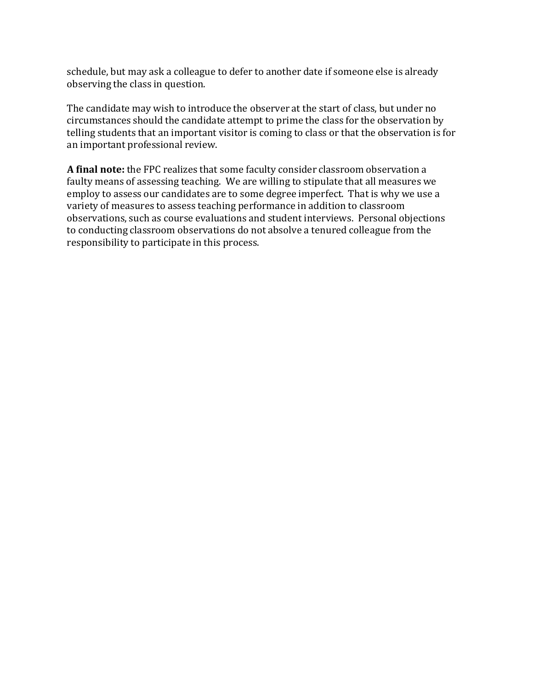schedule, but may ask a colleague to defer to another date if someone else is already observing the class in question.

The candidate may wish to introduce the observer at the start of class, but under no circumstances should the candidate attempt to prime the class for the observation by telling students that an important visitor is coming to class or that the observation is for an important professional review.

**A final note:** the FPC realizes that some faculty consider classroom observation a faulty means of assessing teaching. We are willing to stipulate that all measures we employ to assess our candidates are to some degree imperfect. That is why we use a variety of measures to assess teaching performance in addition to classroom observations, such as course evaluations and student interviews. Personal objections to conducting classroom observations do not absolve a tenured colleague from the responsibility to participate in this process.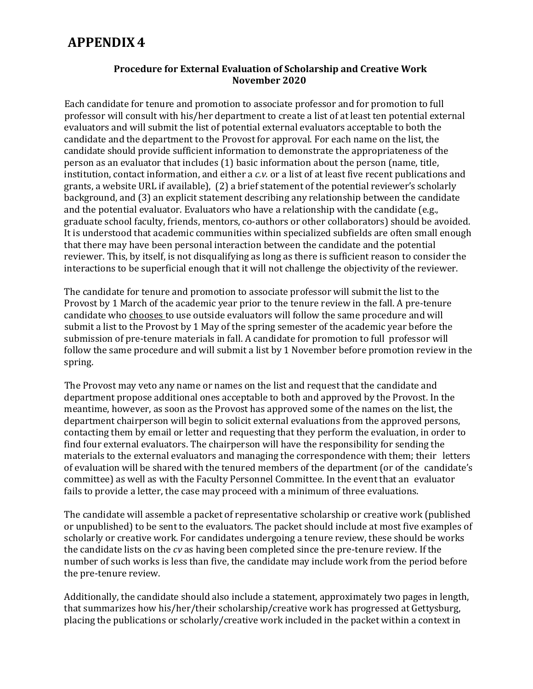#### **Procedure for External Evaluation of Scholarship and Creative Work November 2020**

Each candidate for tenure and promotion to associate professor and for promotion to full professor will consult with his/her department to create a list of at least ten potential external evaluators and will submit the list of potential external evaluators acceptable to both the candidate and the department to the Provost for approval. For each name on the list, the candidate should provide sufficient information to demonstrate the appropriateness of the person as an evaluator that includes (1) basic information about the person (name, title, institution, contact information, and either a *c.v.* or a list of at least five recent publications and grants, a website URL if available), (2) a brief statement of the potential reviewer's scholarly background, and (3) an explicit statement describing any relationship between the candidate and the potential evaluator. Evaluators who have a relationship with the candidate (e.g., graduate school faculty, friends, mentors, co-authors or other collaborators) should be avoided. It is understood that academic communities within specialized subfields are often small enough that there may have been personal interaction between the candidate and the potential reviewer. This, by itself, is not disqualifying as long as there is sufficient reason to consider the interactions to be superficial enough that it will not challenge the objectivity of the reviewer.

The candidate for tenure and promotion to associate professor will submit the list to the Provost by 1 March of the academic year prior to the tenure review in the fall. A pre-tenure candidate who chooses to use outside evaluators will follow the same procedure and will submit a list to the Provost by 1 May of the spring semester of the academic year before the submission of pre-tenure materials in fall. A candidate for promotion to full professor will follow the same procedure and will submit a list by 1 November before promotion review in the spring.

The Provost may veto any name or names on the list and request that the candidate and department propose additional ones acceptable to both and approved by the Provost. In the meantime, however, as soon as the Provost has approved some of the names on the list, the department chairperson will begin to solicit external evaluations from the approved persons, contacting them by email or letter and requesting that they perform the evaluation, in order to find four external evaluators. The chairperson will have the responsibility for sending the materials to the external evaluators and managing the correspondence with them; their letters of evaluation will be shared with the tenured members of the department (or of the candidate's committee) as well as with the Faculty Personnel Committee. In the event that an evaluator fails to provide a letter, the case may proceed with a minimum of three evaluations.

The candidate will assemble a packet of representative scholarship or creative work (published or unpublished) to be sent to the evaluators. The packet should include at most five examples of scholarly or creative work. For candidates undergoing a tenure review, these should be works the candidate lists on the *cv* as having been completed since the pre-tenure review. If the number of such works is less than five, the candidate may include work from the period before the pre-tenure review.

Additionally, the candidate should also include a statement, approximately two pages in length, that summarizes how his/her/their scholarship/creative work has progressed at Gettysburg, placing the publications or scholarly/creative work included in the packet within a context in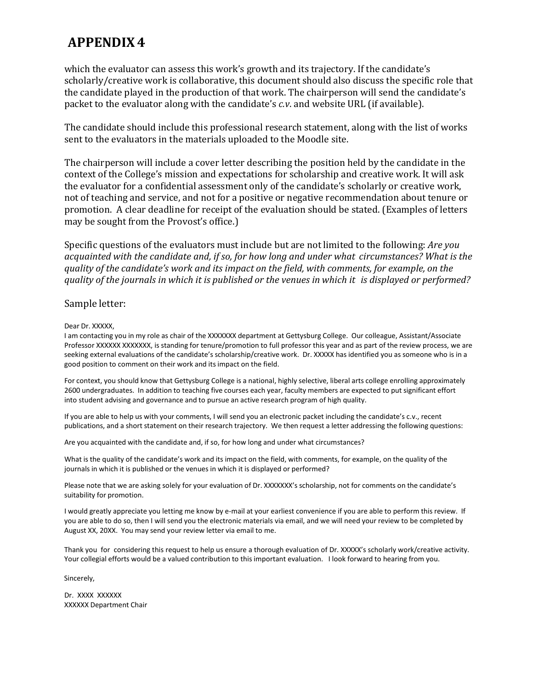which the evaluator can assess this work's growth and its trajectory. If the candidate's scholarly/creative work is collaborative, this document should also discuss the specific role that the candidate played in the production of that work. The chairperson will send the candidate's packet to the evaluator along with the candidate's *c.v*. and website URL (if available).

The candidate should include this professional research statement, along with the list of works sent to the evaluators in the materials uploaded to the Moodle site.

The chairperson will include a cover letter describing the position held by the candidate in the context of the College's mission and expectations for scholarship and creative work. It will ask the evaluator for a confidential assessment only of the candidate's scholarly or creative work, not of teaching and service, and not for a positive or negative recommendation about tenure or promotion. A clear deadline for receipt of the evaluation should be stated. (Examples of letters may be sought from the Provost's office.)

Specific questions of the evaluators must include but are not limited to the following: *Are you acquainted with the candidate and, if so, for how long and under what circumstances? What is the quality of the candidate's work and its impact on the field, with comments, for example, on the quality of the journals in which it is published or the venues in which it is displayed or performed?*

#### Sample letter:

#### Dear Dr. XXXXX,

I am contacting you in my role as chair of the XXXXXXX department at Gettysburg College. Our colleague, Assistant/Associate Professor XXXXXX XXXXXXX, is standing for tenure/promotion to full professor this year and as part of the review process, we are seeking external evaluations of the candidate's scholarship/creative work. Dr. XXXXX has identified you as someone who is in a good position to comment on their work and its impact on the field.

For context, you should know that Gettysburg College is a national, highly selective, liberal arts college enrolling approximately 2600 undergraduates. In addition to teaching five courses each year, faculty members are expected to put significant effort into student advising and governance and to pursue an active research program of high quality.

If you are able to help us with your comments, I will send you an electronic packet including the candidate's c.v., recent publications, and a short statement on their research trajectory. We then request a letter addressing the following questions:

Are you acquainted with the candidate and, if so, for how long and under what circumstances?

What is the quality of the candidate's work and its impact on the field, with comments, for example, on the quality of the journals in which it is published or the venues in which it is displayed or performed?

Please note that we are asking solely for your evaluation of Dr. XXXXXXX's scholarship, not for comments on the candidate's suitability for promotion.

I would greatly appreciate you letting me know by e-mail at your earliest convenience if you are able to perform this review. If you are able to do so, then I will send you the electronic materials via email, and we will need your review to be completed by August XX, 20XX. You may send your review letter via email to me.

Thank you for considering this request to help us ensure a thorough evaluation of Dr. XXXXX's scholarly work/creative activity. Your collegial efforts would be a valued contribution to this important evaluation. I look forward to hearing from you.

Sincerely,

Dr. XXXX XXXXXX XXXXXX Department Chair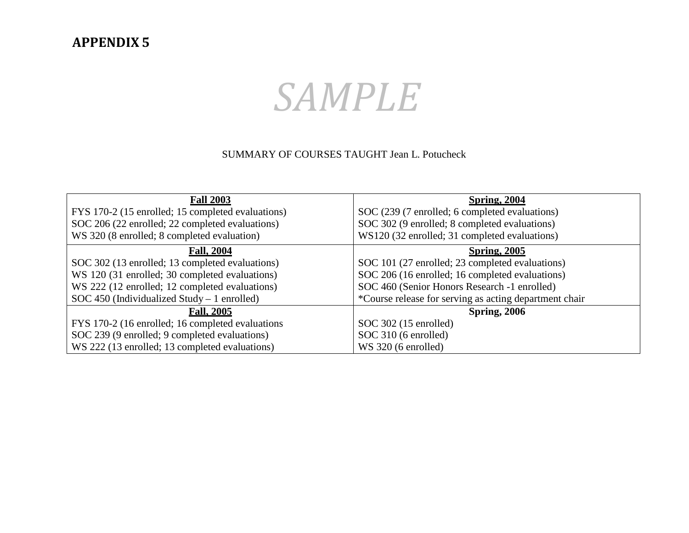# *SAMPLE*

#### SUMMARY OF COURSES TAUGHT Jean L. Potucheck

| <b>Fall 2003</b>                                  | <b>Spring, 2004</b>                                    |  |  |  |  |
|---------------------------------------------------|--------------------------------------------------------|--|--|--|--|
| FYS 170-2 (15 enrolled; 15 completed evaluations) | SOC (239 (7 enrolled; 6 completed evaluations)         |  |  |  |  |
| SOC 206 (22 enrolled; 22 completed evaluations)   | SOC 302 (9 enrolled; 8 completed evaluations)          |  |  |  |  |
| WS 320 (8 enrolled; 8 completed evaluation)       | WS120 (32 enrolled; 31 completed evaluations)          |  |  |  |  |
| <b>Fall, 2004</b>                                 | <b>Spring, 2005</b>                                    |  |  |  |  |
| SOC 302 (13 enrolled; 13 completed evaluations)   | SOC 101 (27 enrolled; 23 completed evaluations)        |  |  |  |  |
| WS 120 (31 enrolled; 30 completed evaluations)    | SOC 206 (16 enrolled; 16 completed evaluations)        |  |  |  |  |
| WS 222 (12 enrolled; 12 completed evaluations)    | SOC 460 (Senior Honors Research -1 enrolled)           |  |  |  |  |
| SOC 450 (Individualized Study $-1$ enrolled)      | *Course release for serving as acting department chair |  |  |  |  |
| <b>Fall, 2005</b>                                 | <b>Spring, 2006</b>                                    |  |  |  |  |
| FYS 170-2 (16 enrolled; 16 completed evaluations  | $SOC$ 302 (15 enrolled)                                |  |  |  |  |
| SOC 239 (9 enrolled; 9 completed evaluations)     | SOC 310 (6 enrolled)                                   |  |  |  |  |
| WS 222 (13 enrolled; 13 completed evaluations)    | WS 320 (6 enrolled)                                    |  |  |  |  |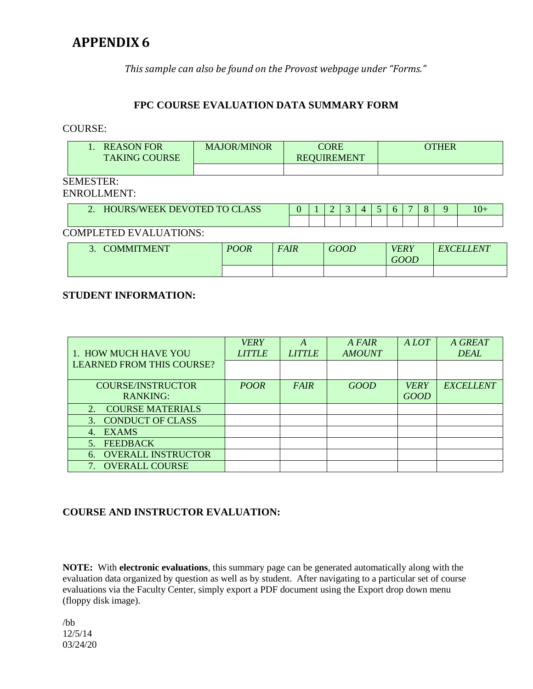*This sample can also be found on the Provost webpage under "Forms."*

#### **FPC COURSE EVALUATION DATA SUMMARY FORM**

#### COURSE:

|                               | <b>REASON FOR</b><br><b>TAKING COURSE</b> | <b>MAJOR/MINOR</b> | <b>CORE</b><br><b>REQUIREMENT</b> |  | <b>OTHER</b> |  |   |          |  |   |  |     |
|-------------------------------|-------------------------------------------|--------------------|-----------------------------------|--|--------------|--|---|----------|--|---|--|-----|
|                               |                                           |                    |                                   |  |              |  |   |          |  |   |  |     |
| <b>SEMESTER:</b>              |                                           |                    |                                   |  |              |  |   |          |  |   |  |     |
| <b>ENROLLMENT:</b>            |                                           |                    |                                   |  |              |  |   |          |  |   |  |     |
|                               | 2. HOURS/WEEK DEVOTED TO CLASS            |                    |                                   |  |              |  | 4 | $\sigma$ |  | 8 |  | 10+ |
|                               |                                           |                    |                                   |  |              |  |   |          |  |   |  |     |
| <b>COMPLETED EVALUATIONS:</b> |                                           |                    |                                   |  |              |  |   |          |  |   |  |     |

| COMMITMENT | <b>POOR</b> | <i>FAIR</i> | <b>GOOD</b> | VERY<br><b>GOOD</b> | <b>EXCELLENT</b> |
|------------|-------------|-------------|-------------|---------------------|------------------|
|            |             |             |             |                     |                  |

#### **STUDENT INFORMATION:**

|                                           | <b>VERY</b>   | A             | A FAIR        | A LOT       | A GREAT          |
|-------------------------------------------|---------------|---------------|---------------|-------------|------------------|
| 1. HOW MUCH HAVE YOU                      | <b>LITTLE</b> | <b>LITTLE</b> | <b>AMOUNT</b> |             | <b>DEAL</b>      |
| <b>LEARNED FROM THIS COURSE?</b>          |               |               |               |             |                  |
| <b>COURSE/INSTRUCTOR</b>                  | <b>POOR</b>   | <b>FAIR</b>   | <b>GOOD</b>   | <b>VERY</b> | <b>EXCELLENT</b> |
|                                           |               |               |               |             |                  |
| <b>RANKING:</b>                           |               |               |               | <b>GOOD</b> |                  |
| <b>COURSE MATERIALS</b><br>2 <sup>1</sup> |               |               |               |             |                  |
| 3. CONDUCT OF CLASS                       |               |               |               |             |                  |
| <b>EXAMS</b><br>$\overline{4}$            |               |               |               |             |                  |
| <b>FEEDBACK</b>                           |               |               |               |             |                  |
| <b>OVERALL INSTRUCTOR</b><br>6.           |               |               |               |             |                  |
| <b>OVERALL COURSE</b>                     |               |               |               |             |                  |

#### **COURSE AND INSTRUCTOR EVALUATION:**

**NOTE:** With **electronic evaluations**, this summary page can be generated automatically along with the evaluation data organized by question as well as by student. After navigating to a particular set of course evaluations via the Faculty Center, simply export a PDF document using the Export drop down menu (floppy disk image).

/bb 12/5/14 03/24/20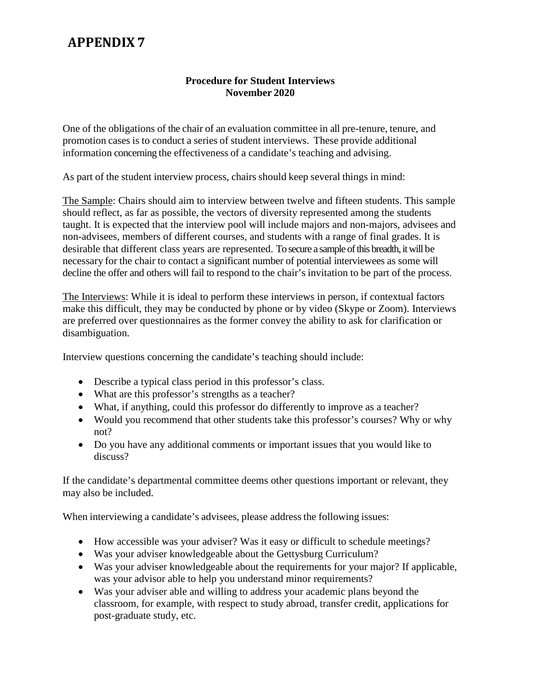#### **Procedure for Student Interviews November 2020**

One of the obligations of the chair of an evaluation committee in all pre-tenure, tenure, and promotion cases is to conduct a series of student interviews. These provide additional information concerning the effectiveness of a candidate's teaching and advising.

As part of the student interview process, chairs should keep several things in mind:

The Sample: Chairs should aim to interview between twelve and fifteen students. This sample should reflect, as far as possible, the vectors of diversity represented among the students taught. It is expected that the interview pool will include majors and non-majors, advisees and non-advisees, members of different courses, and students with a range of final grades. It is desirable that different class years are represented. To secure a sample of this breadth, it will be necessary for the chair to contact a significant number of potential interviewees as some will decline the offer and others will fail to respond to the chair's invitation to be part of the process.

The Interviews: While it is ideal to perform these interviews in person, if contextual factors make this difficult, they may be conducted by phone or by video (Skype or Zoom). Interviews are preferred over questionnaires as the former convey the ability to ask for clarification or disambiguation.

Interview questions concerning the candidate's teaching should include:

- Describe a typical class period in this professor's class.
- What are this professor's strengths as a teacher?
- What, if anything, could this professor do differently to improve as a teacher?
- Would you recommend that other students take this professor's courses? Why or why not?
- Do you have any additional comments or important issues that you would like to discuss?

If the candidate's departmental committee deems other questions important or relevant, they may also be included.

When interviewing a candidate's advisees, please address the following issues:

- How accessible was your adviser? Was it easy or difficult to schedule meetings?
- Was your adviser knowledgeable about the Gettysburg Curriculum?
- Was your adviser knowledgeable about the requirements for your major? If applicable, was your advisor able to help you understand minor requirements?
- Was your adviser able and willing to address your academic plans beyond the classroom, for example, with respect to study abroad, transfer credit, applications for post-graduate study, etc.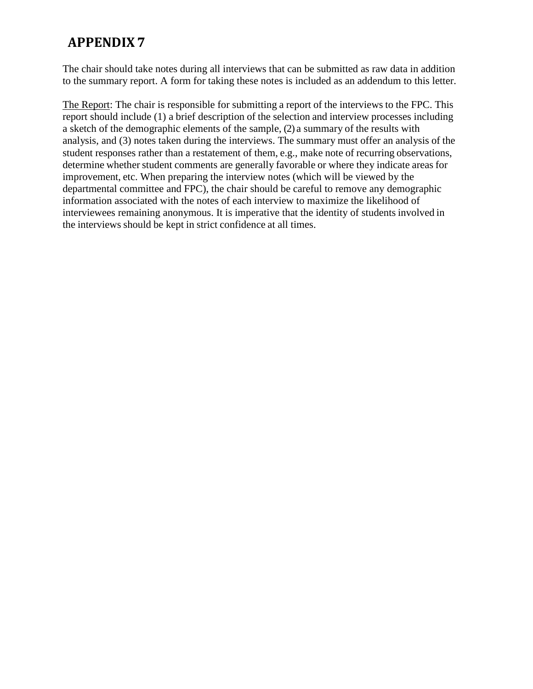The chair should take notes during all interviews that can be submitted as raw data in addition to the summary report. A form for taking these notes is included as an addendum to this letter.

The Report: The chair is responsible for submitting a report of the interviews to the FPC. This report should include (1) a brief description of the selection and interview processes including a sketch of the demographic elements of the sample, (2) a summary of the results with analysis, and (3) notes taken during the interviews. The summary must offer an analysis of the student responses rather than a restatement of them, e.g., make note of recurring observations, determine whether student comments are generally favorable or where they indicate areas for improvement, etc. When preparing the interview notes (which will be viewed by the departmental committee and FPC), the chair should be careful to remove any demographic information associated with the notes of each interview to maximize the likelihood of interviewees remaining anonymous. It is imperative that the identity of students involved in the interviews should be kept in strict confidence at all times.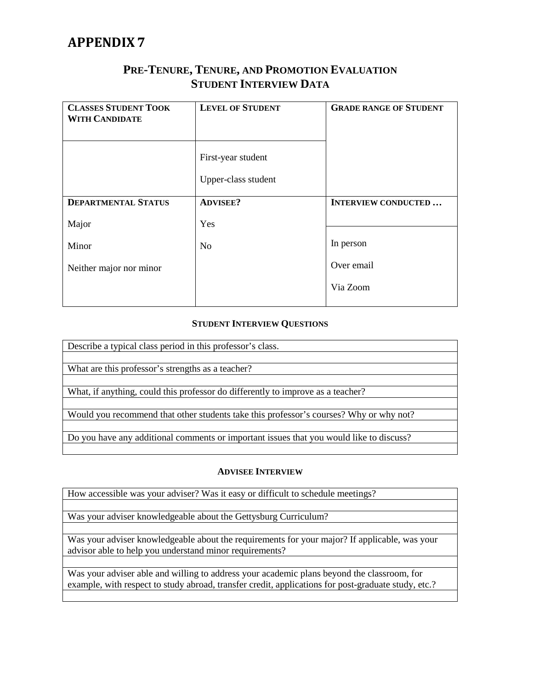#### **PRE-TENURE, TENURE, AND PROMOTION EVALUATION STUDENT INTERVIEW DATA**

| <b>CLASSES STUDENT TOOK</b><br><b>WITH CANDIDATE</b> | <b>LEVEL OF STUDENT</b>                   | <b>GRADE RANGE OF STUDENT</b> |
|------------------------------------------------------|-------------------------------------------|-------------------------------|
|                                                      | First-year student<br>Upper-class student |                               |
| <b>DEPARTMENTAL STATUS</b>                           | <b>ADVISEE?</b>                           | <b>INTERVIEW CONDUCTED</b>    |
| Major                                                | Yes                                       |                               |
| Minor                                                | N <sub>o</sub>                            | In person                     |
| Neither major nor minor                              |                                           | Over email                    |
|                                                      |                                           | Via Zoom                      |
|                                                      |                                           |                               |

#### **STUDENT INTERVIEW QUESTIONS**

Describe a typical class period in this professor's class.

What are this professor's strengths as a teacher?

What, if anything, could this professor do differently to improve as a teacher?

Would you recommend that other students take this professor's courses? Why or why not?

Do you have any additional comments or important issues that you would like to discuss?

#### **ADVISEE INTERVIEW**

How accessible was your adviser? Was it easy or difficult to schedule meetings?

Was your adviser knowledgeable about the Gettysburg Curriculum?

Was your adviser knowledgeable about the requirements for your major? If applicable, was your advisor able to help you understand minor requirements?

Was your adviser able and willing to address your academic plans beyond the classroom, for example, with respect to study abroad, transfer credit, applications for post-graduate study, etc.?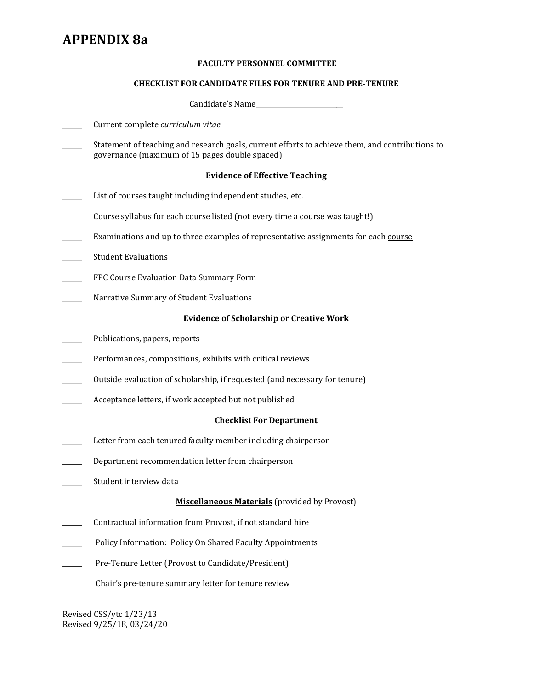## **APPENDIX 8a**

#### **FACULTY PERSONNEL COMMITTEE**

#### **CHECKLIST FOR CANDIDATE FILES FOR TENURE AND PRE-TENURE**

Candidate's Name

- \_\_\_\_\_\_ Current complete *curriculum vitae*
- \_\_\_\_\_\_ Statement of teaching and research goals, current efforts to achieve them, and contributions to governance (maximum of 15 pages double spaced)

#### **Evidence of Effective Teaching**

- List of courses taught including independent studies, etc.
- Course syllabus for each course listed (not every time a course was taught!)
- Examinations and up to three examples of representative assignments for each course
- Student Evaluations
- FPC Course Evaluation Data Summary Form
- Narrative Summary of Student Evaluations

#### **Evidence of Scholarship or Creative Work**

- Publications, papers, reports
- Performances, compositions, exhibits with critical reviews
- \_\_\_\_\_\_ Outside evaluation of scholarship, if requested (and necessary for tenure)
- Acceptance letters, if work accepted but not published

#### **Checklist For Department**

- Letter from each tenured faculty member including chairperson
- \_\_\_\_\_\_ Department recommendation letter from chairperson
- Student interview data

#### **Miscellaneous Materials** (provided by Provost)

- \_\_\_\_\_\_ Contractual information from Provost, if not standard hire
- Policy Information: Policy On Shared Faculty Appointments
- Pre-Tenure Letter (Provost to Candidate/President)
- \_\_\_\_\_\_ Chair's pre-tenure summary letter for tenure review

Revised CSS/ytc 1/23/13 Revised 9/25/18, 03/24/20